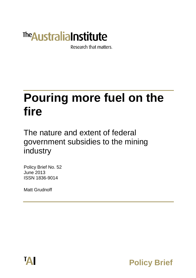# **The Australia Institute**

Research that matters.

# **Pouring more fuel on the fire**

The nature and extent of federal government subsidies to the mining industry

Policy Brief No. 52 June 2013 ISSN 1836-9014

Matt Grudnoff



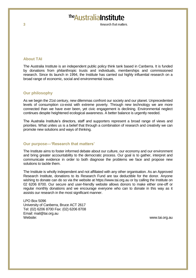# The Australia Institute

Research that matters

#### **About TAI**

The Australia Institute is an independent public policy think tank based in Canberra. It is funded by donations from philanthropic trusts and individuals, memberships and commissioned research. Since its launch in 1994, the Institute has carried out highly influential research on a broad range of economic, social and environmental issues.

#### **Our philosophy**

As we begin the 21st century, new dilemmas confront our society and our planet. Unprecedented levels of consumption co-exist with extreme poverty. Through new technology we are more connected than we have ever been, yet civic engagement is declining. Environmental neglect continues despite heightened ecological awareness. A better balance is urgently needed.

The Australia Institute's directors, staff and supporters represent a broad range of views and priorities. What unites us is a belief that through a combination of research and creativity we can promote new solutions and ways of thinking.

#### **Our purpose—'Research that matters'**

The Institute aims to foster informed debate about our culture, our economy and our environment and bring greater accountability to the democratic process. Our goal is to gather, interpret and communicate evidence in order to both diagnose the problems we face and propose new solutions to tackle them.

The Institute is wholly independent and not affiliated with any other organisation. As an Approved Research Institute, donations to its Research Fund are tax deductible for the donor. Anyone wishing to donate can do so via the website at https://www.tai.org.au or by calling the Institute on 02 6206 8700. Our secure and user-friendly website allows donors to make either one-off or regular monthly donations and we encourage everyone who can to donate in this way as it assists our research in the most significant manner.

LPO Box 5096 University of Canberra, Bruce ACT 2617 Tel: (02) 6206 8700 Fax: (02) 6206 8708 Email: mail@tai.org.au Website: www.tai.org.au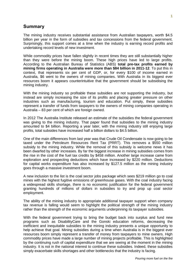#### **Summary**

The mining industry receives substantial assistance from Australian taxpayers, worth \$4.5 billion per year in the form of subsidies and tax concessions from the federal government. Surprisingly, this support comes at a time when the industry is earning record profits and undertaking record levels of new investment.

While commodity prices have fallen slightly in recent times they are still substantially higher than they were before the mining boom. These high prices have led to large profits. According to the Australian Bureau of Statistics (ABS) **total pre-tax profits earned by mining firms operating in Australia were more than \$84 billion in 2011-12**. To put this in context, that represents six per cent of GDP, or, for every \$100 of income earned in Australia, \$6 went to the owners of mining companies. With Australia in its biggest ever resources boom it appears counterintuitive that the government should be subsidising the mining industry.

With the mining industry so profitable these subsidies are not supporting the industry, but instead are simply increasing the size of its profits and placing greater pressure on other industries such as manufacturing, tourism and education. Put simply, these subsidies represent a transfer of funds from taxpayers to the owners of mining companies operating in Australia – 83 per cent of which are foreign owned.

In 2012 The Australia Institute released an estimate of the subsidies the federal government was giving to the mining industry. That paper found that subsidies to the mining industry amounted to \$4 billion. Reporting a year later, with the mining industry still enjoying large profits, total subsides have increased half a billion dollars to \$4.5 billion.

One of the main differences from last year was that Crude Oil Condensate is now going to be taxed under the Petroleum Resources Rent Tax (PRRT). This removes a \$550 million subsidy to the mining industry. While the removal of this subsidy is welcome news it has been dwarfed by other increases. By far the biggest increase in mining subsidies comes from the rise in the cost of the fuel tax credits by \$458 million. Another large increase came from exploration and prospecting deductions which have increased by \$220 million. Deductions for capital works expenditure has also increased by \$127.5 million as the mining industry goes through a massive investment boom.

A new inclusion to the list is the coal sector jobs package which sees \$219 million go to coal mines with the highest fugitive emissions of greenhouse gases. With the coal industry facing a widespread skills shortage, there is no economic justification for the federal government granting hundreds of millions of dollars in subsidies to try and prop up coal sector employment.

The ability of the mining industry to appropriate additional taxpayer support when company tax revenue is falling would seem to highlight the political strength of the mining industry rather than the strength of the economic arguments underpinning its taxpayer subsidies.

With the federal government trying to bring the budget back into surplus and fund new programs such as DisabilityCare and the Gonski education reforms, decreasing the inefficient and inequitable subsidies to the mining industry presents a unique opportunity to help achieve that goal. Mining subsidies during a time when Australia is in the biggest ever resources boom simply represent a transfer of money from taxpayers to mine owners. High commodity prices have made a large number of mining projects profitable. This is highlighted by the continuing rush of capital expenditure that we are seeing at the moment in the mining industry. It is not in the national interest to continue these subsidies. Indeed, these subsidies simply exacerbate skills shortages and other bottlenecks that the industry is facing.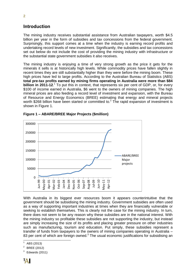### **Introduction**

The mining industry receives substantial assistance from Australian taxpayers, worth \$4.5 billion per year in the form of subsidies and tax concessions from the federal government. Surprisingly, this support comes at a time when the industry is earning record profits and undertaking record levels of new investment. Significantly, the subsidies and tax concessions set out below do not include the cost of providing the mining industry with infrastructure or the substantial state government subsidies it also receives.

The mining industry is enjoying a time of very strong growth as the price it gets for the minerals it sells is at historically high levels. While commodity prices have fallen slightly in recent times they are still substantially higher than they were before the mining boom. These high prices have led to large profits. According to the Australian Bureau of Statistics (ABS) **total pre-tax profits earned by mining firms operating in Australia were more than \$84 billion in 2011-12.**<sup>1</sup> To put this in context, that represents six per cent of GDP, or, for every \$100 of income earned in Australia, \$6 went to the owners of mining companies. The high mineral prices are also feeding a record level of investment and expansion, with the Bureau of Resource and Energy Economics (BREE) estimating that energy and mineral projects worth \$268 billion have been started or committed to.<sup>2</sup> The rapid expansion of investment is shown in Figure 1.



**Figure 1 – ABARE/BREE Major Projects (\$million)**

With Australia in its biggest ever resources boom it appears counterintuitive that the government should be subsidising the mining industry. Government subsidies are often used as a way of supporting important industries at times when they are financially vulnerable or seeking to establish themselves. This is clearly not the case for the mining industry. In turn, there does not seem to be any reason why these subsidies are in the national interest. With the mining industry so profitable these subsidies are not supporting the industry, but instead are simply increasing the size of its profits and placing greater pressure on other industries such as manufacturing, tourism and education. Put simply, these subsidies represent a transfer of funds from taxpayers to the owners of mining companies operating in Australia – 83 per cent of which are foreign owned.<sup>3</sup> The usual economic justifications for subsidising an

 $\overline{a}$ 1 ABS (2013)

 $2^2$  BREE (2012)

<sup>3</sup> Edwards (2011)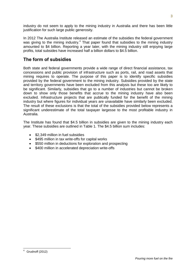industry do not seem to apply to the mining industry in Australia and there has been little justification for such large public generosity.

In 2012 The Australia Institute released an estimate of the subsidies the federal government was giving to the mining industry.<sup>4</sup> That paper found that subsidies to the mining industry amounted to \$4 billion. Reporting a year later, with the mining industry still enjoying large profits, total subsides have increased half a billion dollars to \$4.5 billion.

## **The form of subsidies**

Both state and federal governments provide a wide range of direct financial assistance, tax concessions and public provision of infrastructure such as ports, rail, and road assets that mining requires to operate. The purpose of this paper is to identify specific subsidies provided by the federal government to the mining industry. Subsidies provided by the state and territory governments have been excluded from this analysis but these too are likely to be significant. Similarly, subsidies that go to a number of industries but cannot be broken down to show only those benefits that accrue to the mining industry have also been excluded. Infrastructure projects that are publically funded for the benefit of the mining industry but where figures for individual years are unavailable have similarly been excluded. The result of these exclusions is that the total of the subsidies provided below represents a significant underestimate of the total taxpayer largesse to the most profitable industry in Australia.

The Institute has found that \$4.5 billion in subsidies are given to the mining industry each year. These subsidies are outlined in Table 1. The \$4.5 billion sum includes:

- \$2,349 million in fuel subsidies
- \$495 million in tax write-offs for capital works
- \$550 million in deductions for exploration and prospecting
- \$400 million in accelerated depreciation write-offs

 Grudnoff (2012)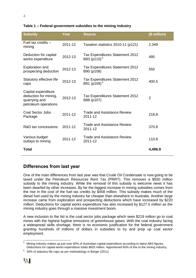| <b>Subsidy</b>                                                                        | Year    | <b>Source</b>                                              | (\$ million)   |
|---------------------------------------------------------------------------------------|---------|------------------------------------------------------------|----------------|
| Fuel tax credits -<br>mining                                                          | 2011-12 | Taxation statistics 2010-11 (p121)                         | 2,349          |
| Deduction for capital<br>works expenditure                                            | 2012-13 | Tax Expenditures Statement 2012<br>B93 (p110) <sup>5</sup> | 495            |
| <b>Exploration and</b><br>prospecting deduction                                       | 2012-13 | <b>Tax Expenditures Statement 2012</b><br>B90 (p108)       | 550            |
| Statutory effective life<br>caps                                                      | 2012-13 | Tax Expenditures Statement 2012<br>B91 (p109) <sup>6</sup> | 400.5          |
| Capital expenditure<br>deduction for mining,<br>quarrying and<br>petroleum operations | 2012-13 | Tax Expenditures Statement 2012<br>B88 (p107)              | $\overline{2}$ |
| <b>Coal Sector Jobs</b><br>Package                                                    | 2011-12 | Trade and Assistance Review<br>2011-12                     | 218.8          |
| R&D tax concessions                                                                   | 2011-12 | Trade and Assistance Review<br>2011-12                     | 370.8          |
| Various budget<br>outlays to mining                                                   | 2011-12 | Trade and Assistance Review<br>2011-12                     | 110.8          |
| <b>Total</b>                                                                          |         |                                                            | 4,496.9        |

#### **Table 1 – Federal government subsidies to the mining industry**

### **Differences from last year**

One of the main differences from last year was that Crude Oil Condensate is now going to be taxed under the Petroleum Resources Rent Tax (PRRT). This removes a \$550 million subsidy to the mining industry. While the removal of this subsidy is welcome news it has been dwarfed by other increases. By far the biggest increase in mining subsidies comes from the rise in the cost of the fuel tax credits by \$458 million. This subsidy makes much of the diesel fuel used by the mining industry far cheaper than elsewhere in Australia. Another large increase came from exploration and prospecting deductions which have increased by \$220 million. Deductions for capital works expenditure has also increased by \$127.5 million as the mining industry goes through a massive investment boom.

A new inclusion to the list is the coal sector jobs package which sees \$219 million go to coal mines with the highest fugitive emissions of greenhouse gases. With the coal industry facing a widespread skills shortage, there is no economic justification for the federal government granting hundreds of millions of dollars in subsidies to try and prop up coal sector employment.

 $\overline{a}$ <sup>5</sup> Mining industry makes up just over 60% of Australian capital expenditure according to latest ABS figures. Deductions for capital works expenditure totals \$825 million. Apportioned 60% of this to the mining industry.

 $6\;$  30% of statutory life caps as per methodology in Berger (2011)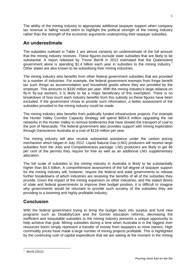The ability of the mining industry to appropriate additional taxpayer support when company tax revenue is falling would seem to highlight the political strength of the mining industry rather than the strength of the economic arguments underpinning their taxpayer subsidies.

# **An underestimate**

The subsidies outlined in Table 1 are almost certainly an underestimate of the full amount that the mining industry receives. These figures exclude state subsidies that are likely to be substantial. A report released by Trevor Berrill in 2012 estimated that the Queensland government alone is spending \$1.4 billion each year in subsidies to the mining industry.<sup>7</sup> Other states are also known to be subsidising their mining industries.

The mining industry also benefits from other federal government subsidies that are provided to a number of industries. For example, the federal government exempts from fringe benefit tax such things as accommodation and household goods where they are provided by the employer. This amounts to \$330 million per year. With the mining industry's large reliance on fly-in fly-out workers, it is likely to be a major beneficiary of this exemption. There is no breakdown of how much each industry benefits from this subsidy so these figures have been excluded. If the government chose to provide such information, a better assessment of the subsidies provided to the mining industry could be made.

The mining industry also benefits from publically funded infrastructure projects. For example the Hunter Valley Corridor Capacity Strategy will spend \$854.8 million upgrading the rail networks in the Hunter Valley to remove bottlenecks that have slowed the transport of coal to the port of Newcastle. The federal government also provides support with mining exploration through Geoscience Australia at a cost of \$118 million per year.

The mining industry will also receive substantial assistance under the carbon pricing mechanism which began in July 2012. Liquid Natural Gas (LNG) producers will receive large subsidies from the Jobs and Competitiveness package. LNG producers are likely to get 66 per cent of the permits they require for free as well as an additional LNG supplementary allocation.

The full scale of subsidies to the mining industry in Australia is likely to be substantially higher than \$4.5 billion. A comprehensive assessment of the full degree of taxpayer support for the mining industry will, however, require the federal and state governments to release further breakdowns of which industries are receiving the benefits of all of the subsidies they provide. Given the impact of the mining expansion on other industries, and the stated desire of state and federal governments to improve their budget position, it is difficult to imagine why governments would be reluctant to provide such scrutiny of the subsidies they are providing to a booming and highly profitable industry.

# **Conclusion**

With the federal government trying to bring the budget back into surplus and fund new programs such as DisabilityCare and the Gonski education reforms, decreasing the inefficient and inequitable subsidies to the mining industry presents a unique opportunity to help achieve that goal. Mining subsidies during a time when Australia is in the biggest ever resources boom simply represent a transfer of money from taxpayers to mine owners. High commodity prices have made a large number of mining projects profitable. This is highlighted by the continuing rush of capital expenditure that we are seeing at the moment in the mining

 7 Berrill (2012)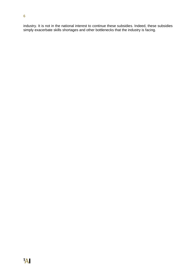industry. It is not in the national interest to continue these subsidies. Indeed, these subsidies simply exacerbate skills shortages and other bottlenecks that the industry is facing.